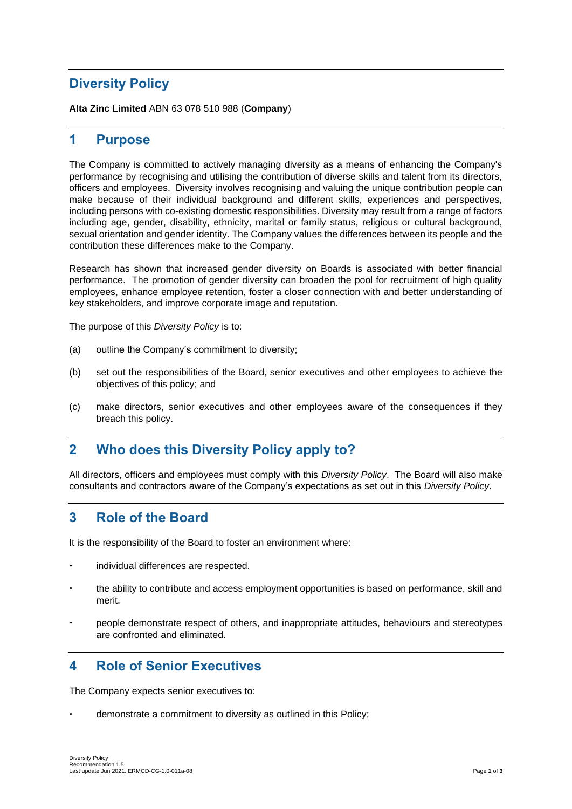# **Diversity Policy**

**Alta Zinc Limited** ABN 63 078 510 988 (**Company**)

#### **1 Purpose**

The Company is committed to actively managing diversity as a means of enhancing the Company's performance by recognising and utilising the contribution of diverse skills and talent from its directors, officers and employees. Diversity involves recognising and valuing the unique contribution people can make because of their individual background and different skills, experiences and perspectives, including persons with co-existing domestic responsibilities. Diversity may result from a range of factors including age, gender, disability, ethnicity, marital or family status, religious or cultural background, sexual orientation and gender identity. The Company values the differences between its people and the contribution these differences make to the Company.

Research has shown that increased gender diversity on Boards is associated with better financial performance. The promotion of gender diversity can broaden the pool for recruitment of high quality employees, enhance employee retention, foster a closer connection with and better understanding of key stakeholders, and improve corporate image and reputation.

The purpose of this *Diversity Policy* is to:

- (a) outline the Company's commitment to diversity;
- (b) set out the responsibilities of the Board, senior executives and other employees to achieve the objectives of this policy; and
- (c) make directors, senior executives and other employees aware of the consequences if they breach this policy.

### **2 Who does this Diversity Policy apply to?**

All directors, officers and employees must comply with this *Diversity Policy*. The Board will also make consultants and contractors aware of the Company's expectations as set out in this *Diversity Policy*.

### **3 Role of the Board**

It is the responsibility of the Board to foster an environment where:

- individual differences are respected.
- the ability to contribute and access employment opportunities is based on performance, skill and merit.
- people demonstrate respect of others, and inappropriate attitudes, behaviours and stereotypes are confronted and eliminated.

### **4 Role of Senior Executives**

The Company expects senior executives to:

demonstrate a commitment to diversity as outlined in this Policy;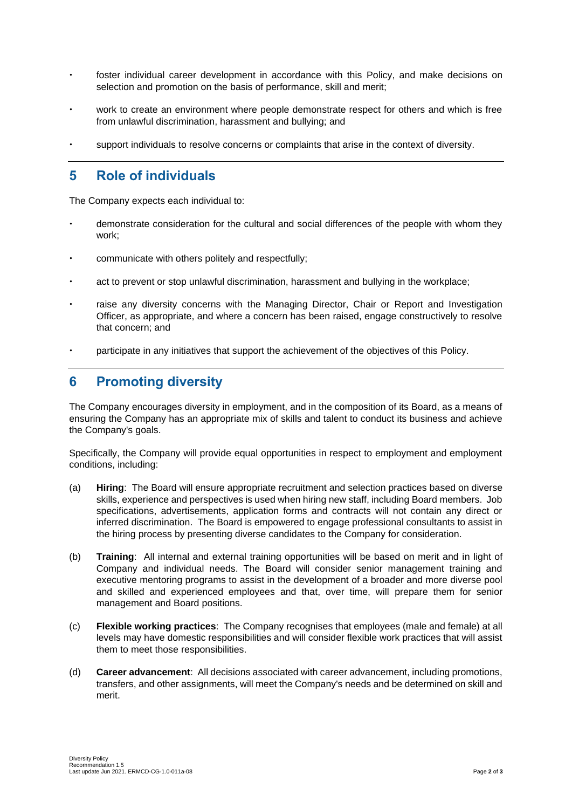- foster individual career development in accordance with this Policy, and make decisions on selection and promotion on the basis of performance, skill and merit;
- work to create an environment where people demonstrate respect for others and which is free from unlawful discrimination, harassment and bullying; and
- support individuals to resolve concerns or complaints that arise in the context of diversity.

### **5 Role of individuals**

The Company expects each individual to:

- demonstrate consideration for the cultural and social differences of the people with whom they work;
- communicate with others politely and respectfully;
- act to prevent or stop unlawful discrimination, harassment and bullying in the workplace;
- raise any diversity concerns with the Managing Director, Chair or Report and Investigation Officer, as appropriate, and where a concern has been raised, engage constructively to resolve that concern; and
- participate in any initiatives that support the achievement of the objectives of this Policy.

## **6 Promoting diversity**

The Company encourages diversity in employment, and in the composition of its Board, as a means of ensuring the Company has an appropriate mix of skills and talent to conduct its business and achieve the Company's goals.

Specifically, the Company will provide equal opportunities in respect to employment and employment conditions, including:

- (a) **Hiring**:The Board will ensure appropriate recruitment and selection practices based on diverse skills, experience and perspectives is used when hiring new staff, including Board members. Job specifications, advertisements, application forms and contracts will not contain any direct or inferred discrimination. The Board is empowered to engage professional consultants to assist in the hiring process by presenting diverse candidates to the Company for consideration.
- (b) **Training**: All internal and external training opportunities will be based on merit and in light of Company and individual needs. The Board will consider senior management training and executive mentoring programs to assist in the development of a broader and more diverse pool and skilled and experienced employees and that, over time, will prepare them for senior management and Board positions.
- (c) **Flexible working practices**: The Company recognises that employees (male and female) at all levels may have domestic responsibilities and will consider flexible work practices that will assist them to meet those responsibilities.
- (d) **Career advancement**: All decisions associated with career advancement, including promotions, transfers, and other assignments, will meet the Company's needs and be determined on skill and merit.